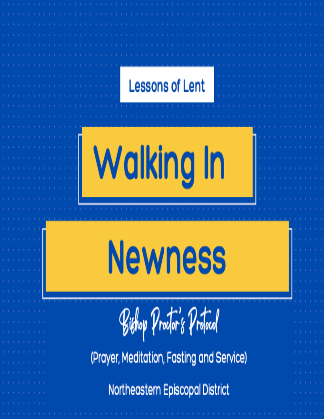# **Lessons of Lent** Walking In **Newness** Bishop Proctor's Protocol (Prayer, Meditation, Fasting and Service) Northeastern Episcopal District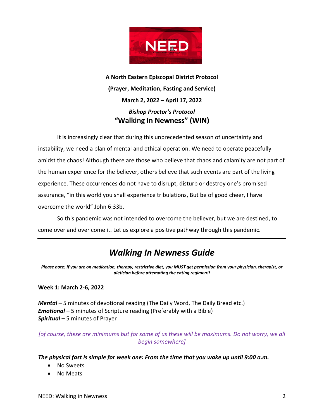

**A North Eastern Episcopal District Protocol (Prayer, Meditation, Fasting and Service) March 2, 2022 – April 17, 2022** *Bishop Proctor's Protocol* **"Walking In Newness" (WIN)**

It is increasingly clear that during this unprecedented season of uncertainty and instability, we need a plan of mental and ethical operation. We need to operate peacefully amidst the chaos! Although there are those who believe that chaos and calamity are not part of the human experience for the believer, others believe that such events are part of the living experience. These occurrences do not have to disrupt, disturb or destroy one's promised assurance, "in this world you shall experience tribulations, But be of good cheer, I have overcome the world" John 6:33b.

So this pandemic was not intended to overcome the believer, but we are destined, to come over and over come it. Let us explore a positive pathway through this pandemic.

# *Walking In Newness Guide*

*Please note: If you are on medication, therapy, restrictive diet, you MUST get permission from your physician, therapist, or dietician before attempting the eating regimen!!*

## **Week 1: March 2-6, 2022**

*Mental* – 5 minutes of devotional reading (The Daily Word, The Daily Bread etc.) *Emotional* – 5 minutes of Scripture reading (Preferably with a Bible) *Spiritual* – 5 minutes of Prayer

*[of course, these are minimums but for some of us these will be maximums. Do not worry, we all begin somewhere]*

## *The physical fast is simple for week one: From the time that you wake up until 9:00 a.m.*

- No Sweets
- No Meats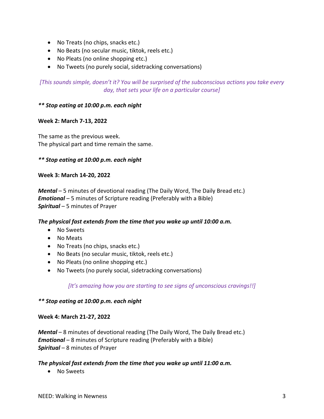- No Treats (no chips, snacks etc.)
- No Beats (no secular music, tiktok, reels etc.)
- No Pleats (no online shopping etc.)
- No Tweets (no purely social, sidetracking conversations)

*[This sounds simple, doesn't it? You will be surprised of the subconscious actions you take every day, that sets your life on a particular course]*

# *\*\* Stop eating at 10:00 p.m. each night*

# **Week 2: March 7-13, 2022**

The same as the previous week. The physical part and time remain the same.

# *\*\* Stop eating at 10:00 p.m. each night*

## **Week 3: March 14-20, 2022**

*Mental* – 5 minutes of devotional reading (The Daily Word, The Daily Bread etc.) *Emotional* – 5 minutes of Scripture reading (Preferably with a Bible) *Spiritual* – 5 minutes of Prayer

## *The physical fast extends from the time that you wake up until 10:00 a.m.*

- No Sweets
- No Meats
- No Treats (no chips, snacks etc.)
- No Beats (no secular music, tiktok, reels etc.)
- No Pleats (no online shopping etc.)
- No Tweets (no purely social, sidetracking conversations)

# *[It's amazing how you are starting to see signs of unconscious cravings!!]*

## *\*\* Stop eating at 10:00 p.m. each night*

## **Week 4: March 21-27, 2022**

*Mental* – 8 minutes of devotional reading (The Daily Word, The Daily Bread etc.) *Emotional* – 8 minutes of Scripture reading (Preferably with a Bible) *Spiritual* – 8 minutes of Prayer

## *The physical fast extends from the time that you wake up until 11:00 a.m.*

• No Sweets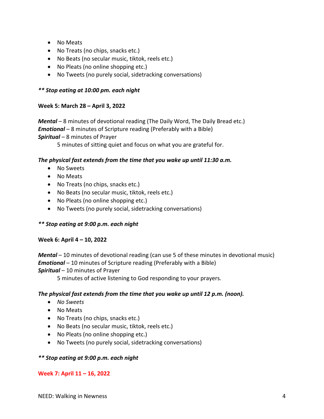- No Meats
- No Treats (no chips, snacks etc.)
- No Beats (no secular music, tiktok, reels etc.)
- No Pleats (no online shopping etc.)
- No Tweets (no purely social, sidetracking conversations)

# *\*\* Stop eating at 10:00 pm. each night*

# **Week 5: March 28 – April 3, 2022**

*Mental* – 8 minutes of devotional reading (The Daily Word, The Daily Bread etc.) *Emotional* – 8 minutes of Scripture reading (Preferably with a Bible) *Spiritual* – 8 minutes of Prayer

5 minutes of sitting quiet and focus on what you are grateful for.

# *The physical fast extends from the time that you wake up until 11:30 a.m.*

- No Sweets
- No Meats
- No Treats (no chips, snacks etc.)
- No Beats (no secular music, tiktok, reels etc.)
- No Pleats (no online shopping etc.)
- No Tweets (no purely social, sidetracking conversations)

# *\*\* Stop eating at 9:00 p.m. each night*

# **Week 6: April 4 – 10, 2022**

*Mental* – 10 minutes of devotional reading (can use 5 of these minutes in devotional music) *Emotional* – 10 minutes of Scripture reading (Preferably with a Bible) *Spiritual* – 10 minutes of Prayer

5 minutes of active listening to God responding to your prayers.

# *The physical fast extends from the time that you wake up until 12 p.m. (noon).*

- *No Sweets*
- No Meats
- No Treats (no chips, snacks etc.)
- No Beats (no secular music, tiktok, reels etc.)
- No Pleats (no online shopping etc.)
- No Tweets (no purely social, sidetracking conversations)

## *\*\* Stop eating at 9:00 p.m. each night*

## **Week 7: April 11 – 16, 2022**